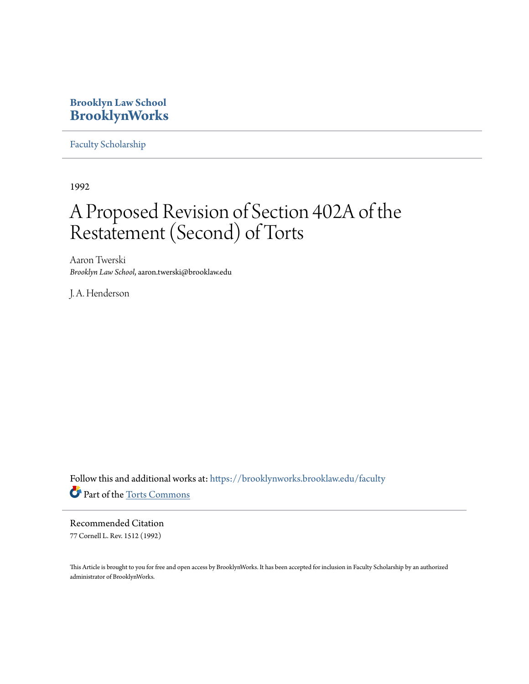## **Brooklyn Law School [BrooklynWorks](https://brooklynworks.brooklaw.edu?utm_source=brooklynworks.brooklaw.edu%2Ffaculty%2F685&utm_medium=PDF&utm_campaign=PDFCoverPages)**

[Faculty Scholarship](https://brooklynworks.brooklaw.edu/faculty?utm_source=brooklynworks.brooklaw.edu%2Ffaculty%2F685&utm_medium=PDF&utm_campaign=PDFCoverPages)

1992

## A Proposed Revision of Section 402A of the Restatement (Second) of Torts

Aaron Twerski *Brooklyn Law School*, aaron.twerski@brooklaw.edu

J. A. Henderson

Follow this and additional works at: [https://brooklynworks.brooklaw.edu/faculty](https://brooklynworks.brooklaw.edu/faculty?utm_source=brooklynworks.brooklaw.edu%2Ffaculty%2F685&utm_medium=PDF&utm_campaign=PDFCoverPages) Part of the [Torts Commons](http://network.bepress.com/hgg/discipline/913?utm_source=brooklynworks.brooklaw.edu%2Ffaculty%2F685&utm_medium=PDF&utm_campaign=PDFCoverPages)

Recommended Citation 77 Cornell L. Rev. 1512 (1992)

This Article is brought to you for free and open access by BrooklynWorks. It has been accepted for inclusion in Faculty Scholarship by an authorized administrator of BrooklynWorks.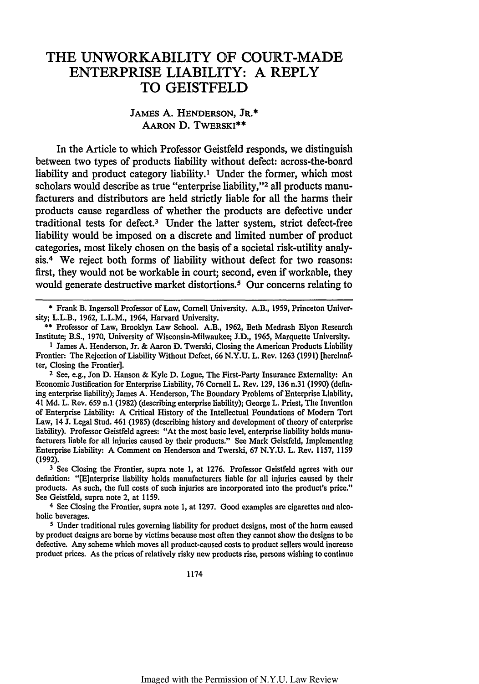## THE UNWORKABILITY OF **COURT-MADE** ENTERPRISE LIABILITY: **A** REPLY TO GEISTFELD

## JAMES A. **HENDERSON,** JR.\* **AARON** D. TWERSKI\*\*

In the Article to which Professor Geistfeld responds, we distinguish between two types of products liability without defect: across-the-board liability and product category liability.' Under the former, which most scholars would describe as true "enterprise liability,"<sup>2</sup> all products manufacturers and distributors are held strictly liable for all the harms their products cause regardless of whether the products are defective under traditional tests for defect.3 Under the latter system, strict defect-free liability would be imposed on a discrete and limited number of product categories, most likely chosen on the basis of a societal risk-utility analysis.<sup>4</sup> We reject both forms of liability without defect for two reasons: first, they would not be workable in court; second, even if workable, they would generate destructive market distortions.<sup>5</sup> Our concerns relating to

\* Frank B. Ingersoll Professor of Law, Cornell University. A.B., 1959, Princeton Univcrsity; L.L.B., 1962, L.L.M., 1964, Harvard University.

**3** See Closing the Frontier, supra note 1, at **1276.** Professor Geistfeld agrees with our definition: "[E]nterprise liability holds manufacturers liable for all injuries caused **by** their products. As such, the full costs of such injuries are incorporated into the product's price." See Geistfeld, supra note 2, at 1159.

**4** See Closing the Frontier, supra note 1, at 1297. Good examples are cigarettes and alcoholic beverages.

**5** Under traditional rules governing liability for product designs, most of the harm caused **by** product designs are borne **by** victims because most often they cannot show the designs to be defective. Any scheme which moves all product-caused costs to product sellers would increase product prices. As the prices of relatively risky new products rise, persons wishing to continue

<sup>\*\*</sup> Professor of Law, Brooklyn Law School. A.B., 1962, Beth Medrash Elyon Research Institute; B.S., 1970, University of Wisconsin-Milwaukee; J.D., 1965, Marquette University.

**I** James A. Henderson, Jr. & Aaron D. Twerski, Closing the American Products Liability Frontier: The Rejection of Liability Without Defect, 66 N.Y.U. L. Rev. 1263 (1991) [hereinafter, Closing the Frontier].

**<sup>2</sup>** See, e.g., Jon D. Hanson & Kyle D. Logue, The First-Party Insurance Externality: An Economic Justification for Enterprise Liability, **76** Cornell L. Rev. 129, **136** n.31 (1990) (defining enterprise liability); James A. Henderson, The Boundary Problems of Enterprise Liability, 41 Md. L. Rev. 659 n.1 (1982) (describing enterprise liability); George L. Priest, The Invention of Enterprise Liability: A Critical History of the Intellectual Foundations of Modem Tort Law, 14 J. Legal Stud. 461 (1985) (describing history and development of theory of enterprise liability). Professor Geistfeld agrees: "At the most basic level, enterprise liability holds manufacturers liable for all injuries caused by their products." See Mark Geistfeld, Implementing Enterprise Liability: A Comment on Henderson and Twerski, 67 N.Y.U. L. Rev. 1157, 1159 (1992).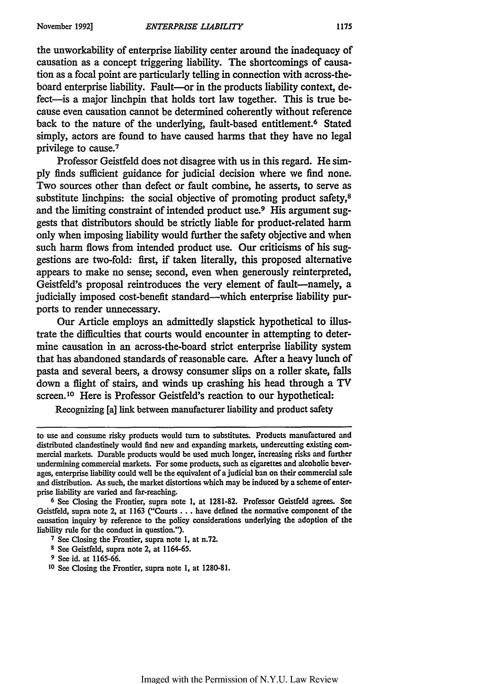the unworkability of enterprise liability center around the inadequacy of causation as a concept triggering liability. The shortcomings of causation as a focal point are particularly telling in connection with across-theboard enterprise liability. Fault-or in the products liability context, defect-is a major linchpin that holds tort law together. This is true because even causation cannot be determined coherently without reference back to the nature of the underlying, fault-based entitlement.<sup>6</sup> Stated simply, actors are found to have caused harms that they have no legal privilege to cause.<sup>7</sup>

Professor Geistfeld does not disagree with us in this regard. He **simply** finds sufficient guidance for judicial decision where we find none. Two sources other than defect or fault combine, he asserts, to serve as substitute linchpins: the social objective of promoting product safety, $8$ and the limiting constraint of intended product use.<sup>9</sup> His argument suggests that distributors should be strictly liable for product-related harm only when imposing liability would further the safety objective and when such harm flows from intended product use. Our criticisms of his suggestions are two-fold: first, if taken literally, this proposed alternative appears to make no sense; second, even when generously reinterpreted, Geistfeld's proposal reintroduces the very element of fault-namely, a judicially imposed cost-benefit standard--which enterprise liability purports to render unnecessary.

Our Article employs an admittedly slapstick hypothetical to illustrate the difficulties that courts would encounter in attempting to determine causation in an across-the-board strict enterprise liability system that has abandoned standards of reasonable care. After a heavy lunch of pasta and several beers, a drowsy consumer slips on a roller skate, falls down a flight of stairs, and winds up crashing his head through a TV screen.10 Here is Professor Geistfeld's reaction to our hypothetical:

Recognizing [a] link between manufacturer liability and product safety

**8** See Geistfeld, supra note 2, at 1164-65.

to use and consume risky products would turn to substitutes. Products manufactured and distributed clandestinely would find new and expanding markets, undercutting existing commercial markets. Durable products would be used much longer, increasing risks and further undermining commercial markets. For some products, such as cigarettes and alcoholic beverages, enterprise liability could well be the equivalent of a judicial ban on their commercial sale and distribution. As such, the market distortions which may be induced by a scheme of enterprise liability are varied and far-reaching.

**<sup>6</sup>** See Closing the Frontier, supra note **1,** at **1281-82.** Professor Geistfcld agrees. **See** Geistfeld, supra note 2, at **1163** ("Courts... have defined the normative component **of** the causation inquiry by reference to the policy considerations underlying the adoption of the liability rule for the conduct in question.").

**<sup>7</sup>**See Closing the Frontier, supra note **1,** at n.72.

**<sup>9</sup>** See id. at 1165-66.

**<sup>10</sup>**See Closing the Frontier, supra note **1,** at **1280-81.**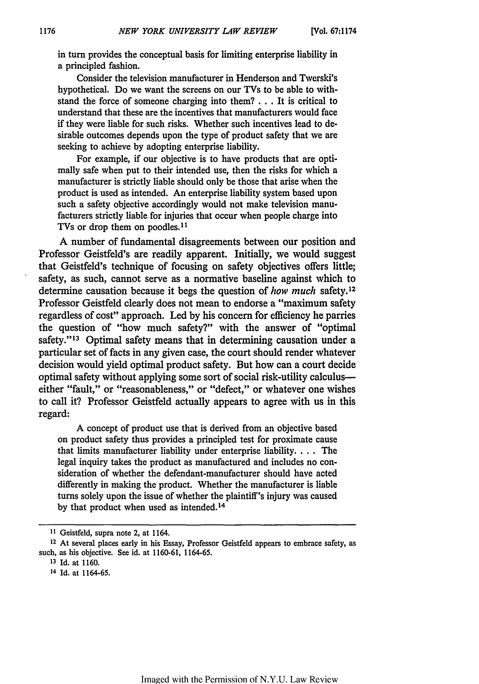in turn provides the conceptual basis for limiting enterprise liability in a principled fashion.

Consider the television manufacturer in Henderson and Twerski's hypothetical. Do we want the screens on our TVs to be able to withstand the force of someone charging into them? **...** It is critical to understand that these are the incentives that manufacturers would face **if** they were liable for such risks. Whether such incentives lead to desirable outcomes depends upon the type of product safety that we are seeking to achieve by adopting enterprise liability.

For example, if our objective is to have products that are optimally safe when put to their intended use, then the risks for which a manufacturer is strictly liable should only be those that arise when the product is used as intended. An enterprise liability system based upon such a safety objective accordingly would not make television manufacturers strictly liable for injuries that occur when people charge into TVs or drop them on poodles.<sup>11</sup>

A number of fundamental disagreements between our position and Professor Geistfeld's are readily apparent. Initially, we would suggest that Geistfeld's technique of focusing on safety objectives offers little; safety, as such, cannot serve as a normative baseline against which to determine causation because it begs the question of how *much* safety. <sup>12</sup> Professor Geistfeld clearly does not mean to endorse a "maximum safety regardless of cost" approach. Led by his concern for efficiency he parries the question of "how much safety?" with the answer of "optimal safety."<sup>13</sup> Optimal safety means that in determining causation under a particular set of facts in any given case, the court should render whatever decision would yield optimal product safety. But how can a court decide optimal safety without applying some sort of social risk-utility calculuseither "fault," or "reasonableness," or "defect," or whatever one wishes to call it? Professor Geistfeld actually appears to agree with us in this regard:

A concept of product use that is derived from an objective based on product safety thus provides a principled test for proximate cause that limits manufacturer liability under enterprise liability **....** The legal inquiry takes the product as manufactured and includes no consideration of whether the defendant-manufacturer should have acted differently in making the product. Whether the manufacturer is liable turns solely upon the issue of whether the plaintiff's injury was caused by that product when used as intended. <sup>14</sup>

**<sup>1</sup>I** Geistfeld, supra note 2, at 1164.

**<sup>12</sup>**At several places early in his Essay, Professor Geistfeld appears to embrace safety, as such, as his objective. See id. at 1160-61, 1164-65.

**<sup>13</sup>**Id. at 1160.

<sup>14</sup> Id. at 1164-65.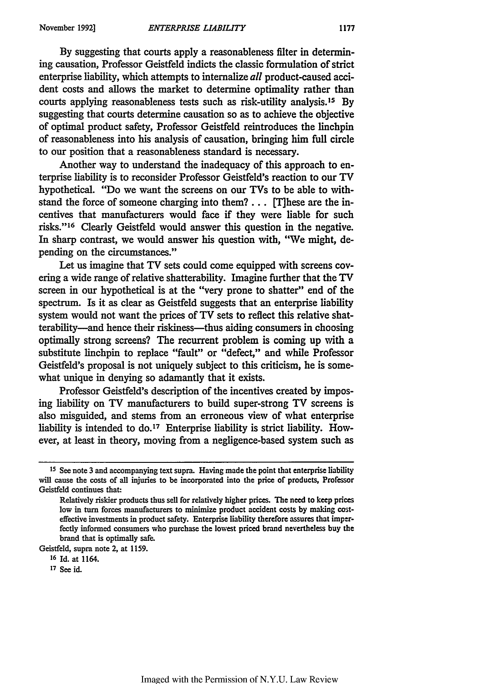By suggesting that courts apply a reasonableness filter in determining causation, Professor Geistfeld indicts the classic formulation of strict enterprise liability, which attempts to internalize *all* product-caused accident costs and allows the market to determine optimality rather than courts applying reasonableness tests such as risk-utility analysis. 15 By suggesting that courts determine causation so as to achieve the objective of optimal product safety, Professor Geistfeld reintroduces the linchpin of reasonableness into his analysis of causation, bringing him **full** circle to our position that a reasonableness standard is necessary.

Another way to understand the inadequacy of this approach to enterprise liability is to reconsider Professor Geistfeld's reaction to our TV hypothetical. "Do we want the screens on our TVs to be able to withstand the force of someone charging into them?... **[T]hese** are the incentives that manufacturers would face **if** they were liable for such risks." 16 Clearly Geistfeld would answer this question in the negative. In sharp contrast, we would answer his question with, "We might, depending on the circumstances."

Let us imagine that TV sets could come equipped with screens covering a wide range of relative shatterability. Imagine further that the TV screen in our hypothetical is at the "very prone to shatter" end of the spectrum. Is it as clear as Geistfeld suggests that an enterprise liability system would not want the prices of TV sets to reflect this relative shatterability-and hence their riskiness-thus aiding consumers in choosing optimally strong screens? The recurrent problem is coming up with a substitute linchpin to replace "fault" or "defect," and while Professor Geistfeld's proposal is not uniquely subject to this criticism, he is somewhat unique in denying so adamantly that it exists.

Professor Geistfeld's description of the incentives created by imposing liability on TV manufacturers to build super-strong TV screens is also misguided, and stems from an erroneous view of what enterprise liability is intended to do.17 Enterprise liability is strict liability. However, at least in theory, moving from a negligence-based system such as

Geistfeld, supra note 2, at **1159.**

**<sup>15</sup>** See note **3** and accompanying text supra. Having made the point that enterprise liability will cause the costs of all injuries to be incorporated into the price **of** products, Professor Geistfeld continues that:

Relatively riskier products thus sell for relatively higher prices. The need to **keep** prices low in turn forces manufacturers to minimize product accident costs **by** making costeffective investments in product safety. Enterprise liability therefore assures **that** imperfectly informed consumers who purchase the lowest priced brand nevertheless buy the brand that is optimally safe.

**<sup>16</sup>Id.** at 1164.

**<sup>17</sup>** See id.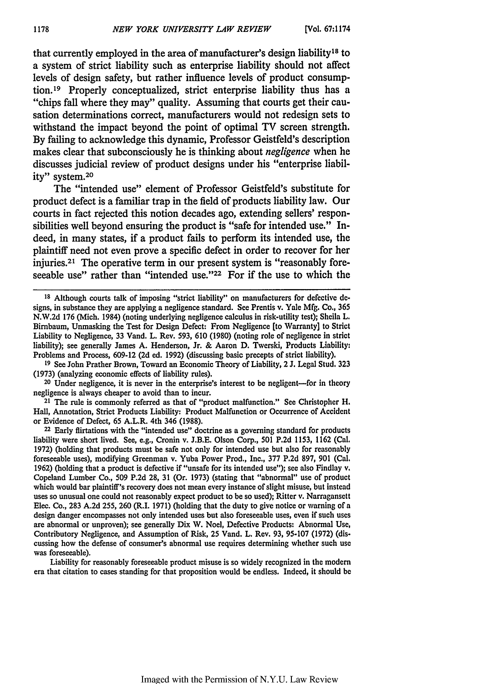that currently employed in the area of manufacturer's design liability<sup>18</sup> to a system of strict liability such as enterprise liability should not affect levels of design safety, but rather influence levels of product consump**tion.19** Properly conceptualized, strict enterprise liability thus has a "chips fall where they may" quality. Assuming that courts get their causation determinations correct, manufacturers would not redesign sets to withstand the impact beyond the point of optimal TV screen strength. **By** failing to acknowledge this dynamic, Professor Geistfeld's description makes clear that subconsciously he is thinking about *negligence* when he discusses judicial review of product designs under his "enterprise liability" system.<sup>20</sup>

The "intended use" element of Professor Geistfeld's substitute for product defect is a familiar trap in the field of products liability law. Our courts in fact rejected this notion decades ago, extending sellers' responsibilities well beyond ensuring the product is "safe for intended use." Indeed, in many states, if a product fails to perform its intended use, the plaintiff need not even prove a specific defect in order to recover for her injuries.<sup>21</sup> The operative term in our present system is "reasonably foreseeable use" rather than "intended use."<sup>22</sup> For if the use to which the

**19** See John Prather Brown, Toward an Economic Theory of Liability, 2 J. Legal Stud. 323 (1973) (analyzing economic effects of liability rules).

**<sup>20</sup>**Under negligence, it is never in the enterprise's interest to be negligent-for in theory negligence is always cheaper to avoid than to incur.

<sup>21</sup> The rule is commonly referred as that of "product malfunction." See Christopher H. Hall, Annotation, Strict Products Liability: Product Malfunction or Occurrence of Accident or Evidence of Defect, 65 A.L.R. 4th 346 (1988).

<sup>22</sup> Early flirtations with the "intended use" doctrine as a governing standard for products liability were short lived. See, e.g., Cronin v. J.B.E. Olson Corp., 501 P.2d 1153, 1162 (Cal, 1972) (holding that products must be safe not only for intended use but also for reasonably foreseeable uses), modifying Greenman v. Yuba Power Prod., Inc., 377 P.2d 897, 901 (Cal. 1962) (holding that a product is defective if "unsafe for its intended use"); see also Findlay v. Copeland Lumber Co., **509** P.2d 28, 31 (Or. 1973) (stating that "abnormal" use of product which would bar plaintiff's recovery does not mean every instance of slight misuse, but instead uses so unusual one could not reasonably expect product to be so used); Ritter *v.* Narragansett Elec. Co., 283 A.2d 255, 260 (R.I. 1971) (holding that the duty to give notice or warning of a design danger encompasses not only intended uses but also foreseeable uses, even if such uses are abnormal or unproven); see generally Dix W. Noel, Defective Products: Abnormal Use, Contributory Negligence, and Assumption of Risk, 25 Vand. L. Rev. 93, 95-107 (1972) (discussing how the defense of consumer's abnormal use requires determining whether such use was foreseeable).

Liability for reasonably foreseeable product misuse is so widely recognized in the modem era that citation to cases standing for that proposition would be endless. Indeed, it should be

**Is** Although courts talk of imposing "strict liability" on manufacturers for defective **de**signs, in substance they are applying a negligence standard. See Prentis v. Yale Mfg. **Co.,** 365 N.W.2d 176 (Mich. 1984) (noting underlying negligence calculus in risk-utility test); Sheila L. Birbaum, Unmasking the Test for Design Defect: From Negligence [to Warranty] to Strict Liability to Negligence, 33 Vand. L. Rev. 593, 610 (1980) (noting role of negligence in strict liability); see generally James A. Henderson, Jr. & Aaron D. Twerski, Products Liability: Problems and Process, 609-12 (2d ed. 1992) (discussing basic precepts of strict liability).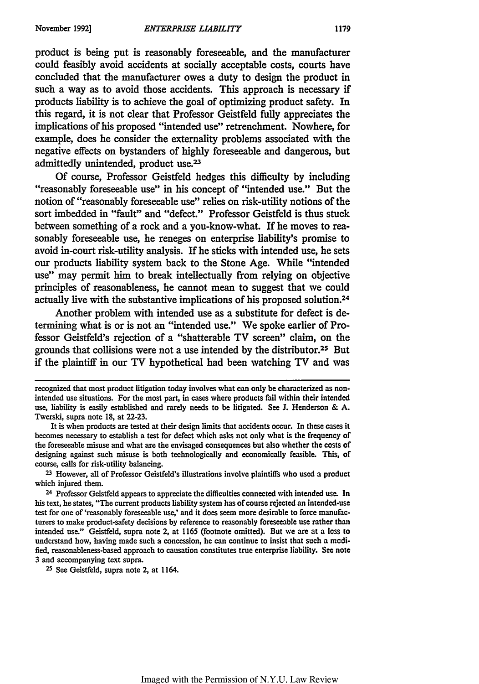product is being put is reasonably foreseeable, and the manufacturer could feasibly avoid accidents at socially acceptable costs, courts have concluded that the manufacturer owes a duty to design the product in such a way as to avoid those accidents. This approach is necessary if products liability is to achieve the goal of optimizing product safety. In this regard, it is not clear that Professor Geistfeld **fully** appreciates the implications of his proposed "intended use" retrenchment. Nowhere, for example, does he consider the externality problems associated with the negative effects on bystanders of **highly** foreseeable and dangerous, but admittedly unintended, product use.23

**Of** course, Professor Geistfeld hedges this difficulty **by** including "reasonably foreseeable use" in his concept of "intended use." But the notion of "reasonably foreseeable use" relies on risk-utility notions of the sort imbedded in "fault" and "defect." Professor Geistfeld is thus stuck between something of a rock and a you-know-what. If he moves to reasonably foreseeable use, he reneges on enterprise liability's promise to avoid in-court risk-utility analysis. If he sticks with intended use, he sets our products liability system back to the Stone Age. While "intended use" may permit him to break intellectually from relying on objective principles of reasonableness, he cannot mean to suggest that we could actually live with the substantive implications of his proposed solution.24

Another problem with intended use as a substitute for defect is determining what is or is not an "intended use." We spoke earlier of Professor Geistfeld's rejection of a "shatterable TV screen" claim, on the grounds that collisions were not a use intended **by** the distributor.25 But if the plaintiff in our TV hypothetical had been watching TV and was

recognized that most product litigation today involves what **can only** be characterized as nonintended use situations. For the most part, in cases where products fail within their intended use, liability is easily established and rarely needs to be litigated. See **J.** Henderson **& A.** Twerski, supra note **18,** at 22-23.

It is when products are tested at their design limits that accidents occur. In these cases it becomes necessary to establish a test for defect which asks not only what is the frequency of the foreseeable misuse and what are the envisaged consequences but also whether the costs of designing against such misuse is both technologically and economically feasible. This, of course, calls for risk-utility balancing.

**<sup>23</sup>**However, all of Professor Geistfeld's illustrations involve plaintiffs who used a product which injured them.

<sup>&</sup>lt;sup>24</sup> Professor Geistfeld appears to appreciate the difficulties connected with intended use. In his text, he states, "The current products liability system has of course rejected an intended-use test for one of 'reasonably foreseeable use,' and it does seem more desirable to force manufacturers to make product-safety decisions **by** reference to reasonably **foreseeable** use rather than intended use." Geistfeld, supra note 2, at 1165 (footnote omitted). But we are at a loss **to** understand how, having made such a concession, he can continue to insist that such a modified, reasonableness-based approach to causation constitutes true enterprise liability. **See** note 3 and accompanying text supra.

**<sup>25</sup>**See Geistfeld, supra note 2, at 1164.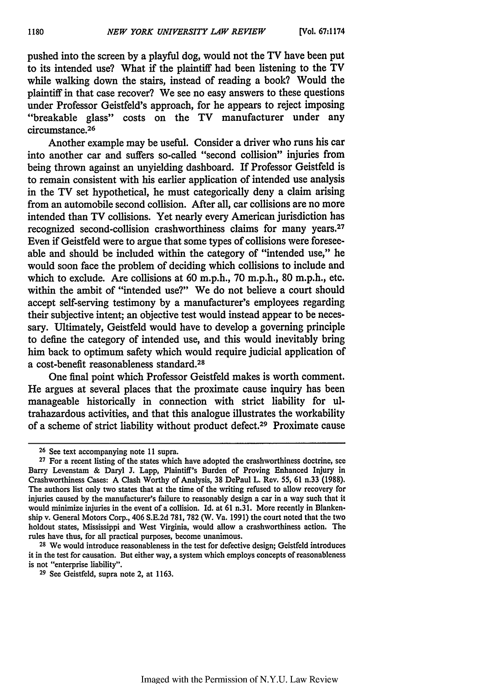pushed into the screen by a playful dog, would not the TV have been put to its intended use? What if the plaintiff had been listening to the TV while walking down the stairs, instead of reading a book? Would the plaintiff in that case recover? We see no easy answers to these questions under Professor Geistfeld's approach, for he appears to reject imposing "breakable glass" costs on the TV manufacturer under any circumstance. <sup>26</sup>

Another example may be useful. Consider a driver who runs his car into another car and suffers so-called "second collision" injuries from being thrown against an unyielding dashboard. If Professor Geistfeld is to remain consistent with his earlier application of intended use analysis in the TV set hypothetical, he must categorically deny a claim arising from an automobile second collision. After all, car collisions are no more intended than TV collisions. Yet nearly every American jurisdiction has recognized second-collision crashworthiness claims for many years.<sup>27</sup> Even if Geistfeld were to argue that some types of collisions were foreseeable and should be included within the category of "intended use," he would soon face the problem of deciding which collisions to include and which to exclude. Are collisions at 60 m.p.h., 70 m.p.h., 80 m.p.h., etc. within the ambit of "intended use?" We do not believe a court should accept self-serving testimony by a manufacturer's employees regarding their subjective intent; an objective test would instead appear to be necessary. Ultimately, Geistfeld would have to develop a governing principle to define the category of intended use, and this would inevitably bring him back to optimum safety which would require judicial application of a cost-benefit reasonableness standard. <sup>28</sup>

One final point which Professor Geistfeld makes is worth comment. He argues at several places that the proximate cause inquiry has been manageable historically in connection with strict liability for ultrahazardous activities, and that this analogue illustrates the workability of a scheme of strict liability without product defect.29 Proximate cause

**<sup>28</sup>**We would introduce reasonableness in the test for defective design; Geistfeld introduces it in the test **for** causation. But either way, a system which employs concepts of reasonableness is not "enterprise liability".

<sup>29</sup> See Geistfeld, supra note 2, at 1163.

<sup>&</sup>lt;sup>26</sup> See text accompanying note 11 supra.

**<sup>27</sup>**For a recent listing of the states which have adopted the crashworthiness doctrine, see Barry Levenstam & Daryl J. Lapp, Plaintiff's Burden of Proving Enhanced Injury in Crashworthiness Cases: A Clash Worthy of Analysis, **38** DePaul L. Rev. 55, 61 n.33 (1988). The authors list only two states that at the time of the writing refused to allow recovery for injuries caused by the manufacturer's failure to reasonably design a car in a way such that it would minimize injuries in the event of a collision. Id. at 61 n.31. More recently in Blankenship v. General Motors Corp., 406 S.E.2d 781, 782 (W. Va. 1991) the court noted that the two holdout states, Mississippi and West Virginia, would allow a crashworthiness action. The rules have thus, for all practical purposes, become unanimous.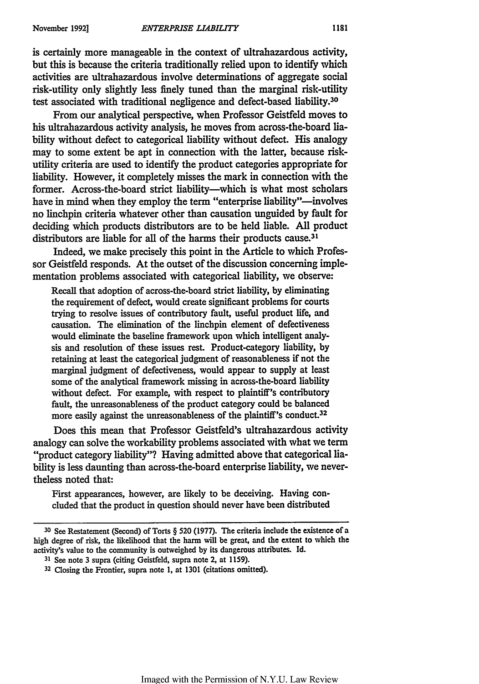is certainly more manageable in the context of ultrahazardous activity, but this is because the criteria traditionally relied upon to identify which activities are ultrahazardous involve determinations of aggregate social risk-utility only slightly less finely tuned than the marginal risk-utility test associated with traditional negligence and defect-based liability.<sup>30</sup>

From our analytical perspective, when Professor Geistfeld moves to his ultrahazardous activity analysis, he moves from across-the-board liability without defect to categorical liability without defect. His analogy may to some extent be apt in connection with the latter, because riskutility criteria are used to identify the product categories appropriate for liability. However, it completely misses the mark in connection with the former. Across-the-board strict liability-which is what most scholars have in mind when they employ the term "enterprise liability"-involves no linchpin criteria whatever other than causation unguided by fault for deciding which products distributors are to be held liable. **All** product distributors are liable for all of the harms their products cause.<sup>31</sup>

Indeed, we make precisely this point in the Article to which Professor Geistfeld responds. At the outset of the discussion concerning implementation problems associated with categorical liability, we observe:

Recall that adoption of across-the-board strict liability, **by** eliminating the requirement of defect, would create significant problems for courts trying to resolve issues of contributory fault, useful product life, and causation. The elimination of the linchpin element of defectiveness would eliminate the baseline framework upon which intelligent analysis and resolution of these issues rest. Product-category liability, **by** retaining at least the categorical judgment of reasonableness if not the marginal judgment of defectiveness, would appear to supply at least some of the analytical framework missing in across-the-board liability without defect. For example, with respect to plaintiff's contributory fault, the unreasonableness of the product category could be balanced more easily against the unreasonableness of the plaintiff's conduct.<sup>32</sup>

Does this mean that Professor Geistfeld's ultrahazardous activity analogy can solve the workability problems associated with what we term "product category liability"? Having admitted above that categorical liability is less daunting than across-the-board enterprise liability, we nevertheless noted that:

First appearances, however, are likely to be deceiving. Having concluded that the product in question should never have been distributed

**<sup>30</sup>**See Restatement (Second) of Torts § **520 (1977).** The criteria include the existence of a high degree of risk, the likelihood that the harm will be great, and the extent to which the activity's value to the community is outweighed **by** its dangerous attributes. **Id.**

**<sup>31</sup>**See note 3 supra (citing Geistfeld, supra note *2,* at 1159).

**<sup>32</sup>**Closing the Frontier, supra note **1,** at 1301 (citations omitted).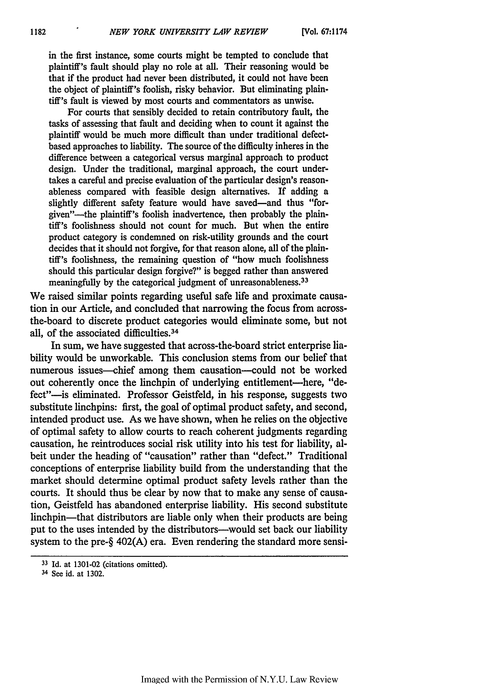in the first instance, some courts might be tempted to conclude that plaintiff's fault should play no role at all. Their reasoning would be that if the product had never been distributed, it could not have been the object of plaintiff's foolish, risky behavior. But eliminating plaintiff's fault is viewed **by** most courts and commentators as unwise.

For courts that sensibly decided to retain contributory fault, the tasks of assessing that fault and deciding when to count it against the plaintiff would be much more difficult than under traditional defectbased approaches to liability. The source of the difficulty inheres in the difference between a categorical versus marginal approach to product design. Under the traditional, marginal approach, the court undertakes a careful and precise evaluation of the particular design's reasonableness compared with feasible design alternatives. If adding a slightly different safety feature would have saved-and thus "forgiven"-the plaintiff's foolish inadvertence, then probably the plaintiff's foolishness should not count for much. But when the entire product category is condemned on risk-utility grounds and the court decides that it should not forgive, for that reason alone, all of the plaintiff's foolishness, the remaining question of "how much foolishness should this particular design forgive?" is begged rather than answered meaningfully **by** the categorical judgment of unreasonableness. <sup>33</sup>

We raised similar points regarding useful safe life and proximate causation in our Article, and concluded that narrowing the focus from acrossthe-board to discrete product categories would eliminate some, but not all, of the associated difficulties.<sup>34</sup>

In sum, we have suggested that across-the-board strict enterprise liability would be unworkable. This conclusion stems from our belief that numerous issues-chief among them causation-could not be worked out coherently once the linchpin of underlying entitlement-here, "defect"-is eliminated. Professor Geistfeld, in his response, suggests two substitute linchpins: first, the goal of optimal product safety, and second, intended product use. As we have shown, when he relies on the objective of optimal safety to allow courts to reach coherent judgments regarding causation, he reintroduces social risk utility into his test for liability, albeit under the heading of "causation" rather than "defect." Traditional conceptions of enterprise liability build from the understanding that the market should determine optimal product safety levels rather than the courts. It should thus be clear **by** now that to make any sense of causation, Geistfeld has abandoned enterprise liability. His second substitute linchpin—that distributors are liable only when their products are being put to the uses intended **by** the distributors-would set back our liability system to the pre-§ 402(A) era. Even rendering the standard more sensi-

<sup>33</sup>Id. at **1301-02** (citations omitted).

<sup>34</sup> See id. at **1302.**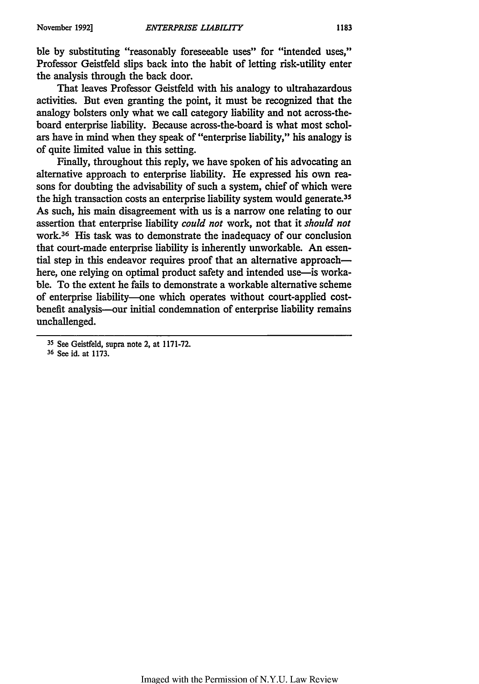ble **by** substituting "reasonably foreseeable uses" for "intended uses," Professor Geistfeld slips back into the habit of letting risk-utility enter the analysis through the back door.

That leaves Professor Geistfeld with his analogy to ultrahazardous activities. But even granting the point, it must be recognized that the analogy bolsters only what we call category liability and not across-theboard enterprise liability. Because across-the-board is what most scholars have in mind when they speak of "enterprise liability," his analogy is of quite limited value in this setting.

Finally, throughout this reply, we have spoken of his advocating an alternative approach to enterprise liability. He expressed his own reasons for doubting the advisability of such a system, chief of which were the high transaction costs an enterprise liability system would generate.<sup>35</sup> As such, his main disagreement with us is a narrow one relating to our assertion that enterprise liability *could not* work, not that it *should not* work. 36 His task was to demonstrate the inadequacy of our conclusion that court-made enterprise liability is inherently unworkable. An essential step in this endeavor requires proof that an alternative approachhere, one relying on optimal product safety and intended use—is workable. To the extent he fails to demonstrate a workable alternative scheme of enterprise liability-one which operates without court-applied costbenefit analysis---our initial condemnation of enterprise liability remains unchallenged.

**<sup>35</sup>**See Geistfeld, supra note 2, at 1171-72.

<sup>&</sup>lt;sup>36</sup> See id. at 1173.